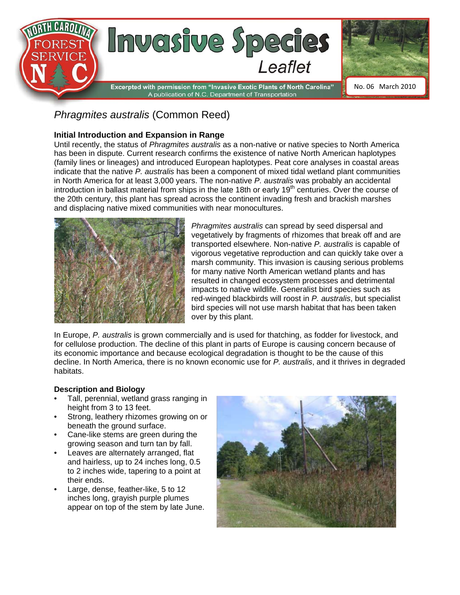

# *Phragmites australis* (Common Reed)

### **Initial Introduction and Expansion in Range**

Until recently, the status of *Phragmites australis* as a non-native or native species to North America has been in dispute. Current research confirms the existence of native North American haplotypes (family lines or lineages) and introduced European haplotypes. Peat core analyses in coastal areas indicate that the native *P. australis* has been a component of mixed tidal wetland plant communities in North America for at least 3,000 years. The non-native *P. australis* was probably an accidental introduction in ballast material from ships in the late 18th or early  $19<sup>th</sup>$  centuries. Over the course of the 20th century, this plant has spread across the continent invading fresh and brackish marshes and displacing native mixed communities with near monocultures.



*Phragmites australis* can spread by seed dispersal and vegetatively by fragments of rhizomes that break off and are transported elsewhere. Non-native *P. australis* is capable of vigorous vegetative reproduction and can quickly take over a marsh community. This invasion is causing serious problems for many native North American wetland plants and has resulted in changed ecosystem processes and detrimental impacts to native wildlife. Generalist bird species such as red-winged blackbirds will roost in *P. australis*, but specialist bird species will not use marsh habitat that has been taken over by this plant.

In Europe, *P. australis* is grown commercially and is used for thatching, as fodder for livestock, and for cellulose production. The decline of this plant in parts of Europe is causing concern because of its economic importance and because ecological degradation is thought to be the cause of this decline. In North America, there is no known economic use for *P. australis*, and it thrives in degraded habitats.

#### **Description and Biology**

- Tall, perennial, wetland grass ranging in height from 3 to 13 feet.
- Strong, leathery rhizomes growing on or beneath the ground surface.
- Cane-like stems are green during the growing season and turn tan by fall.
- Leaves are alternately arranged, flat and hairless, up to 24 inches long, 0.5 to 2 inches wide, tapering to a point at their ends.
- Large, dense, feather-like, 5 to 12 inches long, grayish purple plumes appear on top of the stem by late June.